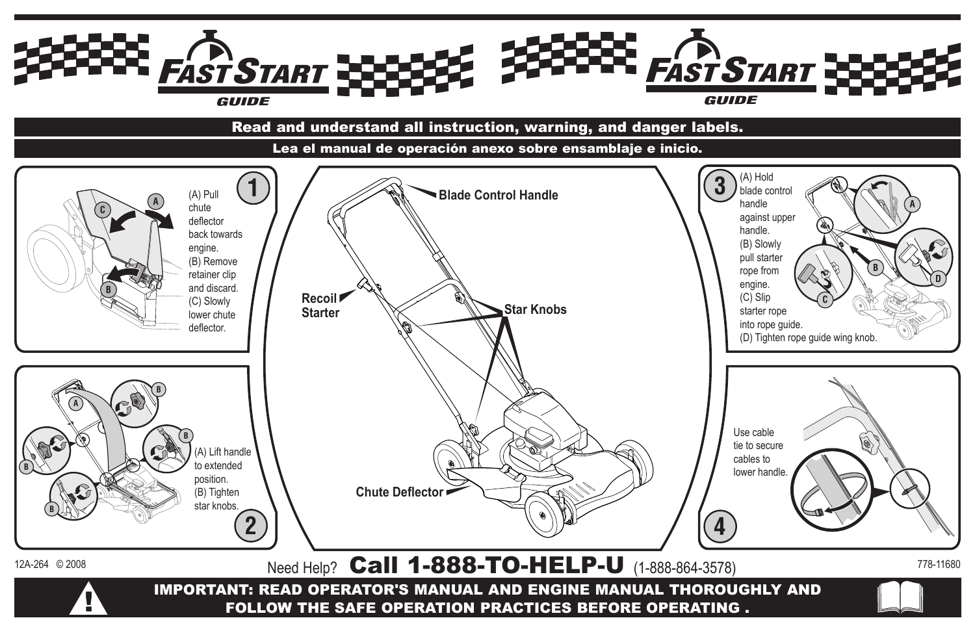IMPORTANT: READ OPERATOR'S MANUAL AND ENGINE MANUAL THOROUGHLY AND FOLLOW THE SAFE OPERATION PRACTICES BEFORE OPERATING .  $12A-264$  © 2008 Need Help? **Call 1-888-TO-HELP-U** (1-888-864-3578)  $778-11680$ 



**2**

**4**











**B**